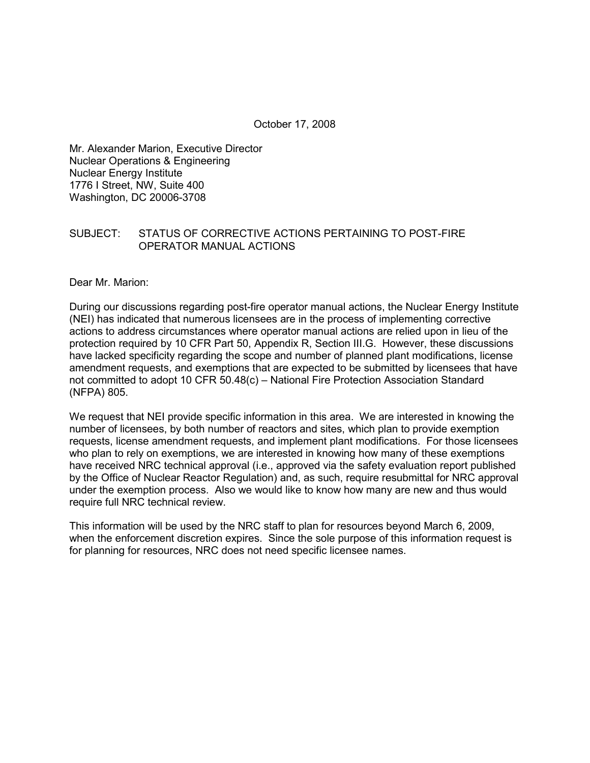October 17, 2008

Mr. Alexander Marion, Executive Director Nuclear Operations & Engineering Nuclear Energy Institute 1776 I Street, NW, Suite 400 Washington, DC 20006-3708

## SUBJECT: STATUS OF CORRECTIVE ACTIONS PERTAINING TO POST-FIRE OPERATOR MANUAL ACTIONS

Dear Mr. Marion:

During our discussions regarding post-fire operator manual actions, the Nuclear Energy Institute (NEI) has indicated that numerous licensees are in the process of implementing corrective actions to address circumstances where operator manual actions are relied upon in lieu of the protection required by 10 CFR Part 50, Appendix R, Section III.G. However, these discussions have lacked specificity regarding the scope and number of planned plant modifications, license amendment requests, and exemptions that are expected to be submitted by licensees that have not committed to adopt 10 CFR 50.48(c) – National Fire Protection Association Standard (NFPA) 805.

We request that NEI provide specific information in this area. We are interested in knowing the number of licensees, by both number of reactors and sites, which plan to provide exemption requests, license amendment requests, and implement plant modifications. For those licensees who plan to rely on exemptions, we are interested in knowing how many of these exemptions have received NRC technical approval (i.e., approved via the safety evaluation report published by the Office of Nuclear Reactor Regulation) and, as such, require resubmittal for NRC approval under the exemption process. Also we would like to know how many are new and thus would require full NRC technical review.

This information will be used by the NRC staff to plan for resources beyond March 6, 2009, when the enforcement discretion expires. Since the sole purpose of this information request is for planning for resources, NRC does not need specific licensee names.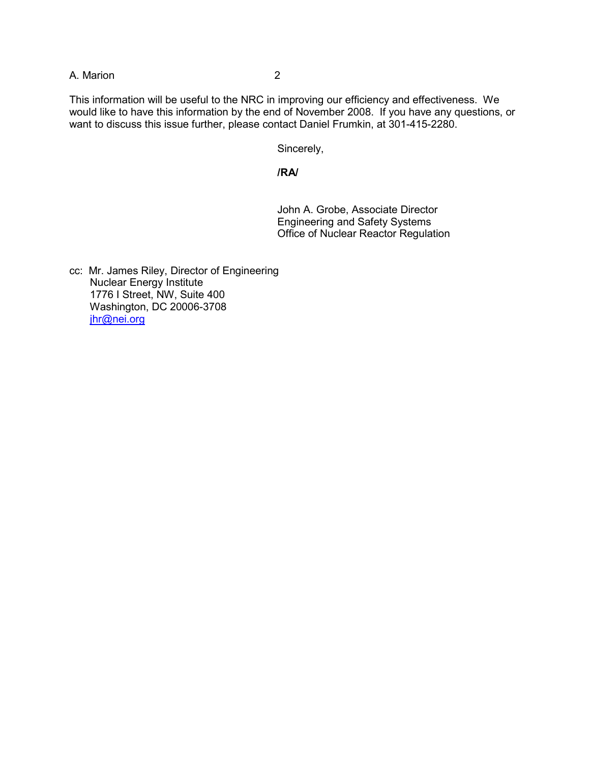## A. Marion 2

This information will be useful to the NRC in improving our efficiency and effectiveness. We would like to have this information by the end of November 2008. If you have any questions, or want to discuss this issue further, please contact Daniel Frumkin, at 301-415-2280.

Sincerely,

#### **/RA/**

 John A. Grobe, Associate Director Engineering and Safety Systems Office of Nuclear Reactor Regulation

cc: Mr. James Riley, Director of Engineering Nuclear Energy Institute 1776 I Street, NW, Suite 400 Washington, DC 20006-3708 jhr@nei.org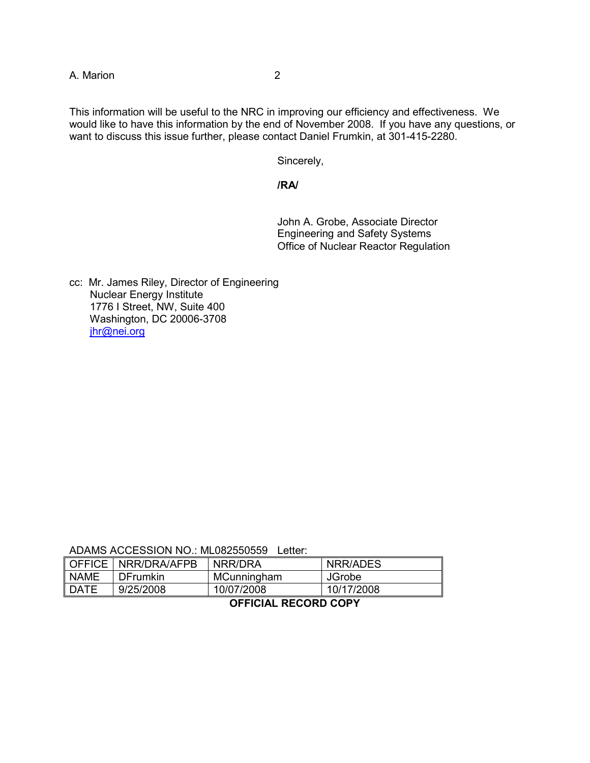A. Marion 2

This information will be useful to the NRC in improving our efficiency and effectiveness. We would like to have this information by the end of November 2008. If you have any questions, or want to discuss this issue further, please contact Daniel Frumkin, at 301-415-2280.

Sincerely,

#### **/RA/**

 John A. Grobe, Associate Director Engineering and Safety Systems Office of Nuclear Reactor Regulation

cc: Mr. James Riley, Director of Engineering Nuclear Energy Institute 1776 I Street, NW, Suite 400 Washington, DC 20006-3708 jhr@nei.org

ADAMS ACCESSION NO.: ML082550559 Letter:

|             | ∥ OFFICE   NRR/DRA/AFPB | NRR/DRA     | NRR/ADES      |
|-------------|-------------------------|-------------|---------------|
| I NAME      | <b>DFrumkin</b>         | MCunningham | <b>JGrobe</b> |
| <b>DATE</b> | 9/25/2008               | 10/07/2008  | 10/17/2008    |

## **OFFICIAL RECORD COPY**